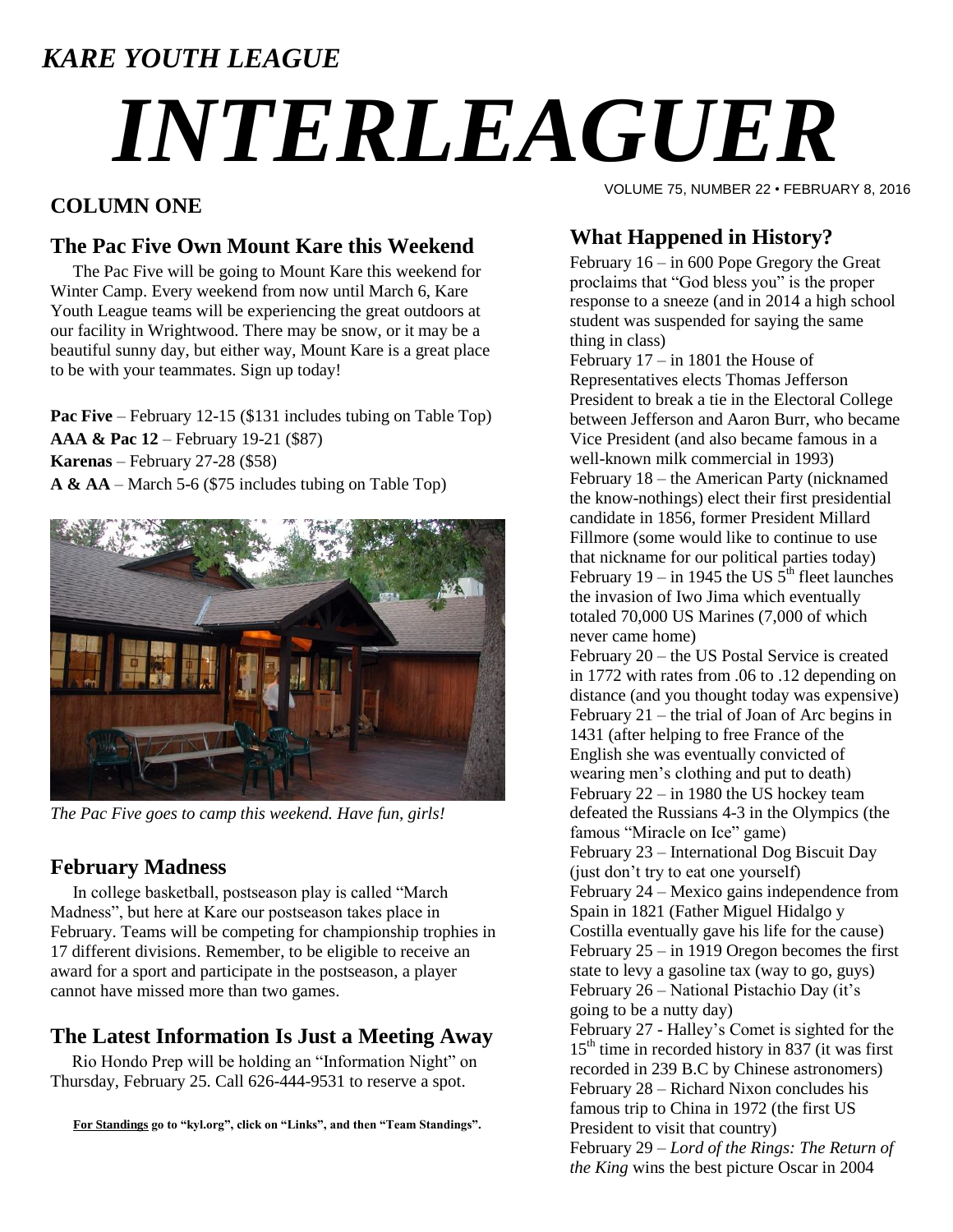### *KARE YOUTH LEAGUE*

# *INTERLEAGUER*

#### **COLUMN ONE**

#### **The Pac Five Own Mount Kare this Weekend**

The Pac Five will be going to Mount Kare this weekend for Winter Camp. Every weekend from now until March 6, Kare Youth League teams will be experiencing the great outdoors at our facility in Wrightwood. There may be snow, or it may be a beautiful sunny day, but either way, Mount Kare is a great place to be with your teammates. Sign up today!

**Pac Five** – February 12-15 (\$131 includes tubing on Table Top) **AAA & Pac 12** – February 19-21 (\$87) **Karenas** – February 27-28 (\$58) **A & AA** – March 5-6 (\$75 includes tubing on Table Top)



*The Pac Five goes to camp this weekend. Have fun, girls!*

#### **February Madness**

In college basketball, postseason play is called "March Madness", but here at Kare our postseason takes place in February. Teams will be competing for championship trophies in 17 different divisions. Remember, to be eligible to receive an award for a sport and participate in the postseason, a player cannot have missed more than two games.

#### **The Latest Information Is Just a Meeting Away**

 Rio Hondo Prep will be holding an "Information Night" on Thursday, February 25. Call 626-444-9531 to reserve a spot.

**For Standings go to "kyl.org", click on "Links", and then "Team Standings".**

VOLUME 75, NUMBER 22 • FEBRUARY 8, 2016

#### **What Happened in History?**

February 16 – in 600 Pope Gregory the Great proclaims that "God bless you" is the proper response to a sneeze (and in 2014 a high school student was suspended for saying the same thing in class)

February 17 – in 1801 the House of Representatives elects Thomas Jefferson President to break a tie in the Electoral College between Jefferson and Aaron Burr, who became Vice President (and also became famous in a well-known milk commercial in 1993) February 18 – the American Party (nicknamed the know-nothings) elect their first presidential candidate in 1856, former President Millard Fillmore (some would like to continue to use that nickname for our political parties today) February 19 – in 1945 the US  $5<sup>th</sup>$  fleet launches the invasion of Iwo Jima which eventually totaled 70,000 US Marines (7,000 of which never came home)

February 20 – the US Postal Service is created in 1772 with rates from .06 to .12 depending on distance (and you thought today was expensive) February 21 – the trial of Joan of Arc begins in 1431 (after helping to free France of the English she was eventually convicted of wearing men's clothing and put to death) February 22 – in 1980 the US hockey team defeated the Russians 4-3 in the Olympics (the famous "Miracle on Ice" game) February 23 – International Dog Biscuit Day (just don't try to eat one yourself) February 24 – Mexico gains independence from Spain in 1821 (Father [Miguel Hidalgo y](https://en.wikipedia.org/wiki/Miguel_Hidalgo_y_Costilla)  [Costilla](https://en.wikipedia.org/wiki/Miguel_Hidalgo_y_Costilla) eventually gave his life for the cause) February 25 – in 1919 Oregon becomes the first state to levy a gasoline tax (way to go, guys) February 26 – National Pistachio Day (it's going to be a nutty day) February 27 - Halley's Comet is sighted for the  $15<sup>th</sup>$  time in recorded history in 837 (it was first recorded in 239 B.C by Chinese astronomers) February 28 – Richard Nixon concludes his famous trip to China in 1972 (the first US President to visit that country) February 29 – *Lord of the Rings: The Return of* 

*the King* wins the best picture Oscar in 2004